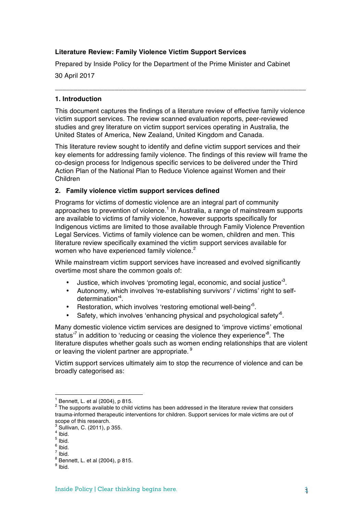## **Literature Review: Family Violence Victim Support Services**

Prepared by Inside Policy for the Department of the Prime Minister and Cabinet

30 April 2017

#### **1. Introduction**

This document captures the findings of a literature review of effective family violence victim support services. The review scanned evaluation reports, peer-reviewed studies and grey literature on victim support services operating in Australia, the United States of America, New Zealand, United Kingdom and Canada.

**\_\_\_\_\_\_\_\_\_\_\_\_\_\_\_\_\_\_\_\_\_\_\_\_\_\_\_\_\_\_\_\_\_\_\_\_\_\_\_\_\_\_\_\_\_\_\_\_\_\_\_\_\_\_\_\_\_\_\_\_\_\_\_\_\_\_\_**

This literature review sought to identify and define victim support services and their key elements for addressing family violence. The findings of this review will frame the co-design process for Indigenous specific services to be delivered under the Third Action Plan of the National Plan to Reduce Violence against Women and their Children

#### **2. Family violence victim support services defined**

Programs for victims of domestic violence are an integral part of community approaches to prevention of violence.<sup>1</sup> In Australia, a range of mainstream supports are available to victims of family violence, however supports specifically for Indigenous victims are limited to those available through Family Violence Prevention Legal Services. Victims of family violence can be women, children and men. This literature review specifically examined the victim support services available for women who have experienced family violence.<sup>2</sup>

While mainstream victim support services have increased and evolved significantly overtime most share the common goals of:

- Justice, which involves 'promoting legal, economic, and social justice<sup>33</sup>.
- Autonomy, which involves 're-establishing survivors' / victims' right to selfdetermination'4 .
- Restoration, which involves 'restoring emotional well-being'<sup>5</sup>.
- Safety, which involves 'enhancing physical and psychological safety'<sup>6</sup>.

Many domestic violence victim services are designed to 'improve victims' emotional status<sup>,7</sup> in addition to 'reducing or ceasing the violence they experience'<sup>8</sup>. The literature disputes whether goals such as women ending relationships that are violent or leaving the violent partner are appropriate.<sup>9</sup>

Victim support services ultimately aim to stop the recurrence of violence and can be broadly categorised as:

 

 $<sup>1</sup>$  Bennett, L, et al (2004), p 815.</sup>

<sup>&</sup>lt;sup>2</sup> The supports available to child victims has been addressed in the literature review that considers trauma-informed therapeutic interventions for children. Support services for male victims are out of scope of this research.

<sup>3</sup> Sullivan, C. (2011), p 355.

 $4$  Ibid.

 $<sup>5</sup>$  Ibid.</sup>

 $6$  Ibid. <sup>7</sup> Ibid.

 $8$  Bennett, L. et al (2004), p 815.

<sup>9</sup> Ibid.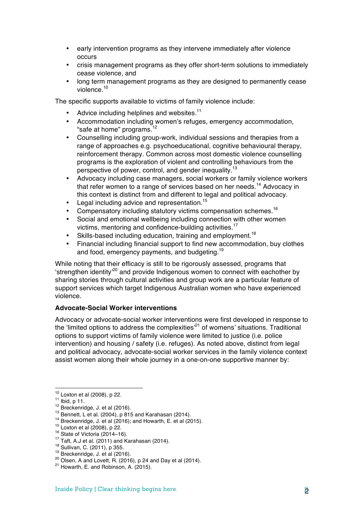- early intervention programs as they intervene immediately after violence occurs
- crisis management programs as they offer short-term solutions to immediately cease violence, and
- long term management programs as they are designed to permanently cease violence.<sup>10</sup>

The specific supports available to victims of family violence include:

- Advice including helplines and websites.<sup>11</sup>
- Accommodation including women's refuges, emergency accommodation, "safe at home" programs.<sup>12</sup>
- Counselling including group-work, individual sessions and therapies from a range of approaches e.g. psychoeducational, cognitive behavioural therapy, reinforcement therapy. Common across most domestic violence counselling programs is the exploration of violent and controlling behaviours from the perspective of power, control, and gender inequality.<sup>13</sup>
- Advocacy including case managers, social workers or family violence workers that refer women to a range of services based on her needs.<sup>14</sup> Advocacy in this context is distinct from and different to legal and political advocacy.
- Legal including advice and representation.<sup>15</sup>
- Compensatory including statutory victims compensation schemes.<sup>16</sup>
- Social and emotional wellbeing including connection with other women victims, mentoring and confidence-building activities.17
- Skills-based including education, training and employment.<sup>18</sup>
- Financial including financial support to find new accommodation, buy clothes and food, emergency payments, and budgeting.<sup>19</sup>

While noting that their efficacy is still to be rigorously assessed, programs that 'strengthen identity'20 and provide Indigenous women to connect with eachother by sharing stories through cultural activities and group work are a particular feature of support services which target Indigenous Australian women who have experienced violence.

#### **Advocate-Social Worker interventions**

Advocacy or advocate-social worker interventions were first developed in response to the 'limited options to address the complexities'<sup>21</sup> of womens' situations. Traditional options to support victims of family violence were limited to justice (i.e. police intervention) and housing / safety (i.e. refuges). As noted above, distinct from legal and political advocacy, advocate-social worker services in the family violence context assist women along their whole journey in a one-on-one supportive manner by:

- 
- 

 $10$  Loxton et al (2008), p 22.

<sup>&</sup>lt;sup>11</sup> Ibid, p 11.<br>
<sup>12</sup> Breckenridge, J. et al (2016).<br>
<sup>12</sup> Breckenridge, J. et al (2004), p 815 and Karahasan (2014).<br>
<sup>14</sup> Breckenridge, J. et al (2016); and Howarth, E. et al (2015).<br>
<sup>15</sup> Loxton et al (2008), p 22.<br>
<sup></sup>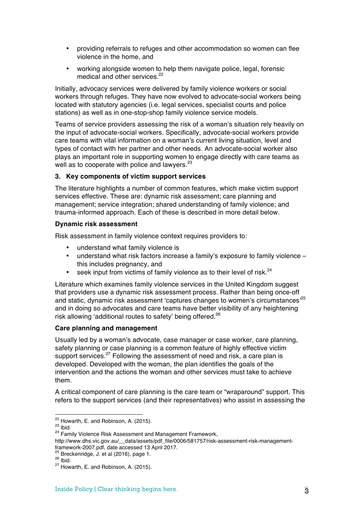- providing referrals to refuges and other accommodation so women can flee violence in the home, and
- working alongside women to help them navigate police, legal, forensic medical and other services.<sup>22</sup>

Initially, advocacy services were delivered by family violence workers or social workers through refuges. They have now evolved to advocate-social workers being located with statutory agencies (i.e. legal services, specialist courts and police stations) as well as in one-stop-shop family violence service models.

Teams of service providers assessing the risk of a woman's situation rely heavily on the input of advocate-social workers. Specifically, advocate-social workers provide care teams with vital information on a woman's current living situation, level and types of contact with her partner and other needs. An advocate-social worker also plays an important role in supporting women to engage directly with care teams as well as to cooperate with police and lawyers.<sup>23</sup>

# **3. Key components of victim support services**

The literature highlights a number of common features, which make victim support services effective. These are: dynamic risk assessment; care planning and management; service integration; shared understanding of family violence; and trauma-informed approach. Each of these is described in more detail below.

## **Dynamic risk assessment**

Risk assessment in family violence context requires providers to:

- understand what family violence is
- understand what risk factors increase a family's exposure to family violence this includes pregnancy, and
- seek input from victims of family violence as to their level of risk.<sup>24</sup>

Literature which examines family violence services in the United Kingdom suggest that providers use a dynamic risk assessment process. Rather than being once-off and static, dynamic risk assessment 'captures changes to women's circumstances<sup>,25</sup> and in doing so advocates and care teams have better visibility of any heightening risk allowing 'additional routes to safety' being offered.<sup>26</sup>

## **Care planning and management**

Usually led by a woman's advocate, case manager or case worker, care planning, safety planning or case planning is a common feature of highly effective victim support services.<sup>27</sup> Following the assessment of need and risk, a care plan is developed. Developed with the woman, the plan identifies the goals of the intervention and the actions the woman and other services must take to achieve them.

A critical component of care planning is the care team or "wraparound" support. This refers to the support services (and their representatives) who assist in assessing the

<sup>&</sup>lt;sup>22</sup> Howarth, E. and Robinson, A. (2015).<br><sup>23</sup> Ibid. 24 Family Violence Risk Assessment and Management Framework,

http://www.dhs.vic.gov.au/\_\_data/assets/pdf\_file/0006/581757/risk-assessment-risk-management-<br>framework-2007.pdf, date accessed 13 April 2017.

<sup>&</sup>lt;sup>25</sup> Breckenridge, J. et al (2016), page 1.<br><sup>26</sup> Ibid. <sup>27</sup> Howarth, E. and Robinson, A. (2015).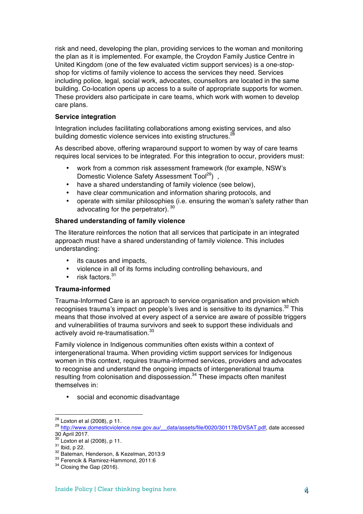risk and need, developing the plan, providing services to the woman and monitoring the plan as it is implemented. For example, the Croydon Family Justice Centre in United Kingdom (one of the few evaluated victim support services) is a one-stopshop for victims of family violence to access the services they need. Services including police, legal, social work, advocates, counsellors are located in the same building. Co-location opens up access to a suite of appropriate supports for women. These providers also participate in care teams, which work with women to develop care plans.

## **Service integration**

Integration includes facilitating collaborations among existing services, and also building domestic violence services into existing structures.<sup>28</sup>

As described above, offering wraparound support to women by way of care teams requires local services to be integrated. For this integration to occur, providers must:

- work from a common risk assessment framework (for example, NSW's Domestic Violence Safety Assessment Tool<sup>29</sup>),
- have a shared understanding of family violence (see below),
- have clear communication and information sharing protocols, and
- operate with similar philosophies (i.e. ensuring the woman's safety rather than advocating for the perpetrator). 30

# **Shared understanding of family violence**

The literature reinforces the notion that all services that participate in an integrated approach must have a shared understanding of family violence. This includes understanding:

- its causes and impacts,
- violence in all of its forms including controlling behaviours, and
- risk factors. $31$

## **Trauma-informed**

Trauma-Informed Care is an approach to service organisation and provision which recognises trauma's impact on people's lives and is sensitive to its dynamics.<sup>32</sup> This means that those involved at every aspect of a service are aware of possible triggers and vulnerabilities of trauma survivors and seek to support these individuals and actively avoid re-traumatisation.<sup>33</sup>

Family violence in Indigenous communities often exists within a context of intergenerational trauma. When providing victim support services for Indigenous women in this context, requires trauma-informed services, providers and advocates to recognise and understand the ongoing impacts of intergenerational trauma resulting from colonisation and dispossession.<sup>34</sup> These impacts often manifest themselves in:

social and economic disadvantage

<sup>&</sup>lt;sup>28</sup> Loxton et al (2008), p 11.<br><sup>29</sup> http://www.domesticviolence.nsw.gov.au/\_\_data/assets/file/0020/301178/DVSAT.pdf, date accessed 30 April 2017.<br><sup>30</sup> Loxton et al (2008), p 11.

<sup>&</sup>lt;sup>31</sup> Ibid, p 22.<br><sup>32</sup> Bateman, Henderson, & Kezelman, 2013:9<br><sup>33</sup> Ferencik & Ramirez-Hammond, 2011:6<br><sup>34</sup> Closing the Gap (2016).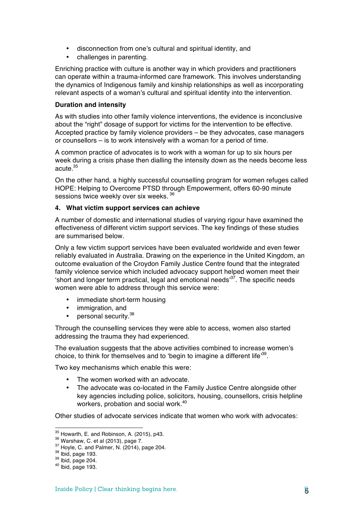- disconnection from one's cultural and spiritual identity, and
- challenges in parenting.

Enriching practice with culture is another way in which providers and practitioners can operate within a trauma-informed care framework. This involves understanding the dynamics of Indigenous family and kinship relationships as well as incorporating relevant aspects of a woman's cultural and spiritual identity into the intervention.

#### **Duration and intensity**

As with studies into other family violence interventions, the evidence is inconclusive about the "right" dosage of support for victims for the intervention to be effective. Accepted practice by family violence providers – be they advocates, case managers or counsellors – is to work intensively with a woman for a period of time.

A common practice of advocates is to work with a woman for up to six hours per week during a crisis phase then dialling the intensity down as the needs become less acute. $35$ 

On the other hand, a highly successful counselling program for women refuges called HOPE: Helping to Overcome PTSD through Empowerment, offers 60-90 minute sessions twice weekly over six weeks. 36

### **4. What victim support services can achieve**

A number of domestic and international studies of varying rigour have examined the effectiveness of different victim support services. The key findings of these studies are summarised below.

Only a few victim support services have been evaluated worldwide and even fewer reliably evaluated in Australia. Drawing on the experience in the United Kingdom, an outcome evaluation of the Croydon Family Justice Centre found that the integrated family violence service which included advocacy support helped women meet their 'short and longer term practical, legal and emotional needs<sup>37</sup>. The specific needs women were able to address through this service were:

- immediate short-term housing
- immigration, and
- personal security.<sup>38</sup>

Through the counselling services they were able to access, women also started addressing the trauma they had experienced.

The evaluation suggests that the above activities combined to increase women's choice, to think for themselves and to 'begin to imagine a different life<sup>39</sup>.

Two key mechanisms which enable this were:

- The women worked with an advocate.
- The advocate was co-located in the Family Justice Centre alongside other key agencies including police, solicitors, housing, counsellors, crisis helpline workers, probation and social work.<sup>40</sup>

Other studies of advocate services indicate that women who work with advocates:

<sup>&</sup>lt;sup>35</sup> Howarth, E. and Robinson, A. (2015), p43.<br><sup>36</sup> Warshaw, C. et al (2013), page 7.<br><sup>37</sup> Hoyle, C. and Palmer, N. (2014), page 204.<br><sup>38</sup> Ibid, page 193.<br><sup>40</sup> Ibid, page 193.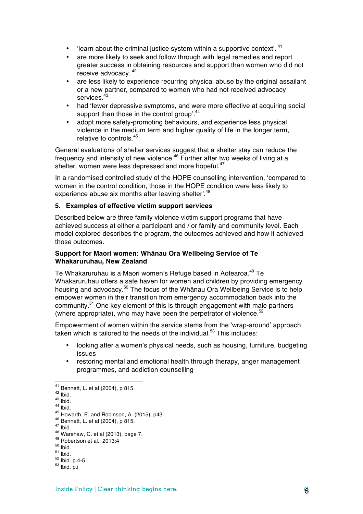- 'learn about the criminal justice system within a supportive context'.  $41$
- are more likely to seek and follow through with legal remedies and report greater success in obtaining resources and support than women who did not receive advocacy. <sup>42</sup>
- are less likely to experience recurring physical abuse by the original assailant or a new partner, compared to women who had not received advocacy services.<sup>43</sup>
- had 'fewer depressive symptoms, and were more effective at acquiring social support than those in the control group'.<sup>44</sup>
- adopt more safety-promoting behaviours, and experience less physical violence in the medium term and higher quality of life in the longer term, relative to controls <sup>45</sup>

General evaluations of shelter services suggest that a shelter stay can reduce the frequency and intensity of new violence.<sup>46</sup> Further after two weeks of living at a shelter, women were less depressed and more hopeful.<sup>47</sup>

In a randomised controlled study of the HOPE counselling intervention, 'compared to women in the control condition, those in the HOPE condition were less likely to experience abuse six months after leaving shelter'.<sup>48</sup>

### **5. Examples of effective victim support services**

Described below are three family violence victim support programs that have achieved success at either a participant and / or family and community level. Each model explored describes the program, the outcomes achieved and how it achieved those outcomes.

### **Support for Maori women: Whānau Ora Wellbeing Service of Te Whakaruruhau, New Zealand**

Te Whakaruruhau is a Maori women's Refuge based in Aotearoa.<sup>49</sup> Te Whakaruruhau offers a safe haven for women and children by providing emergency housing and advocacy.<sup>50</sup> The focus of the Whānau Ora Wellbeing Service is to help empower women in their transition from emergency accommodation back into the community.<sup>51</sup> One key element of this is through engagement with male partners (where appropriate), who may have been the perpetrator of violence. $52$ 

Empowerment of women within the service stems from the 'wrap-around' approach taken which is tailored to the needs of the individual. $53$  This includes:

- looking after a women's physical needs, such as housing, furniture, budgeting issues
- restoring mental and emotional health through therapy, anger management programmes, and addiction counselling

<sup>&</sup>lt;sup>41</sup> Bennett, L. et al (2004), p 815.

<sup>&</sup>lt;sup>42</sup> Ibid.<br>
<sup>42</sup> Ibid.<br>
<sup>43</sup> Ibid.<br>
<sup>44</sup> Ibid.<br>
<sup>45</sup> Howarth, E. and Robinson, A. (2015), p43.<br>
<sup>46</sup> Bennett, L. et al (2004), p 815.<br>
<sup>47</sup> Ibid.<br>
<sup>48</sup> Warshaw, C. et al (2013), page 7.<br>
<sup>49</sup> Robertson et al., 2013:4<br>
<sup>50</sup>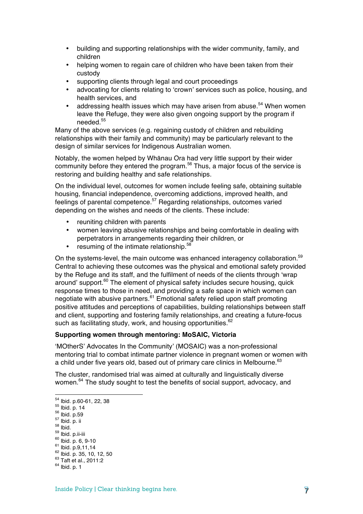- building and supporting relationships with the wider community, family, and children
- helping women to regain care of children who have been taken from their custody
- supporting clients through legal and court proceedings
- advocating for clients relating to 'crown' services such as police, housing, and health services, and
- addressing health issues which may have arisen from abuse.<sup>54</sup> When women leave the Refuge, they were also given ongoing support by the program if needed<sup>55</sup>

Many of the above services (e.g. regaining custody of children and rebuilding relationships with their family and community) may be particularly relevant to the design of similar services for Indigenous Australian women.

Notably, the women helped by Whānau Ora had very little support by their wider community before they entered the program.<sup>56</sup> Thus, a major focus of the service is restoring and building healthy and safe relationships.

On the individual level, outcomes for women include feeling safe, obtaining suitable housing, financial independence, overcoming addictions, improved health, and feelings of parental competence.<sup>57</sup> Regarding relationships, outcomes varied depending on the wishes and needs of the clients. These include:

- reuniting children with parents
- women leaving abusive relationships and being comfortable in dealing with perpetrators in arrangements regarding their children, or
- resuming of the intimate relationship.<sup>58</sup>

On the systems-level, the main outcome was enhanced interagency collaboration.<sup>59</sup> Central to achieving these outcomes was the physical and emotional safety provided by the Refuge and its staff, and the fulfilment of needs of the clients through 'wrap around' support.<sup>60</sup> The element of physical safety includes secure housing, quick response times to those in need, and providing a safe space in which women can negotiate with abusive partners.<sup>61</sup> Emotional safety relied upon staff promoting positive attitudes and perceptions of capabilities, building relationships between staff and client, supporting and fostering family relationships, and creating a future-focus such as facilitating study, work, and housing opportunities.<sup>62</sup>

#### **Supporting women through mentoring: MoSAIC, Victoria**

'MOtherS' Advocates In the Community' (MOSAIC) was a non-professional mentoring trial to combat intimate partner violence in pregnant women or women with a child under five years old, based out of primary care clinics in Melbourne.<sup>63</sup>

The cluster, randomised trial was aimed at culturally and linguistically diverse women.<sup>64</sup> The study sought to test the benefits of social support, advocacy, and

 

<sup>54</sup> Ibid. p.60-61, 22, 38<br>
55 Ibid. p. 14<br>
56 Ibid. p. ii<br>
59 Ibid. p. ii<br>
69 Ibid. p. 6, 9-10<br>
61 Ibid. p. 6, 9-10<br>
61 Ibid. p. 9,11,14<br>
62 Ibid. p. 35, 10, 12, 50<br>
63 Taft et al., 2011:2<br>
64 Ibid. p. 1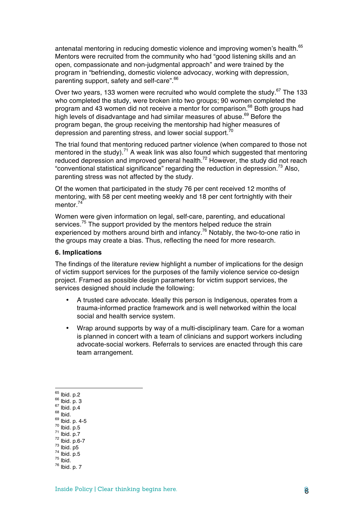antenatal mentoring in reducing domestic violence and improving women's health.<sup>65</sup> Mentors were recruited from the community who had "good listening skills and an open, compassionate and non-judgmental approach" and were trained by the program in "befriending, domestic violence advocacy, working with depression, parenting support, safety and self-care".<sup>66</sup>

Over two years, 133 women were recruited who would complete the study.<sup>67</sup> The 133 who completed the study, were broken into two groups; 90 women completed the program and 43 women did not receive a mentor for comparison.<sup>68</sup> Both groups had high levels of disadvantage and had similar measures of abuse.<sup>69</sup> Before the program began, the group receiving the mentorship had higher measures of depression and parenting stress, and lower social support. $70$ 

The trial found that mentoring reduced partner violence (when compared to those not mentored in the study).<sup>71</sup> A weak link was also found which suggested that mentoring reduced depression and improved general health.<sup>72</sup> However, the study did not reach "conventional statistical significance" regarding the reduction in depression.<sup>73</sup> Also, parenting stress was not affected by the study.

Of the women that participated in the study 76 per cent received 12 months of mentoring, with 58 per cent meeting weekly and 18 per cent fortnightly with their mentor $^{74}$ 

Women were given information on legal, self-care, parenting, and educational services.<sup>75</sup> The support provided by the mentors helped reduce the strain experienced by mothers around birth and infancy.<sup>76</sup> Notably, the two-to-one ratio in the groups may create a bias. Thus, reflecting the need for more research.

#### **6. Implications**

The findings of the literature review highlight a number of implications for the design of victim support services for the purposes of the family violence service co-design project. Framed as possible design parameters for victim support services, the services designed should include the following:

- A trusted care advocate. Ideally this person is Indigenous, operates from a trauma-informed practice framework and is well networked within the local social and health service system.
- Wrap around supports by way of a multi-disciplinary team. Care for a woman is planned in concert with a team of clinicians and support workers including advocate-social workers. Referrals to services are enacted through this care team arrangement.

 

- 
- 
- 65 Ibid. p. 2<br>
67 Ibid. p. 4<br>
68 Ibid. p. 4-5<br>
69 Ibid. p. 4-5<br>
70 Ibid. p.5<br>
71 Ibid. p.6-7<br>
72 Ibid. p.6-7<br>
73 Ibid. p.5<br>
75 Ibid. p.5<br>
76 Ibid. p. 7<br>
76 Ibid. p. 7
- 
- 
- 
- 
- 
-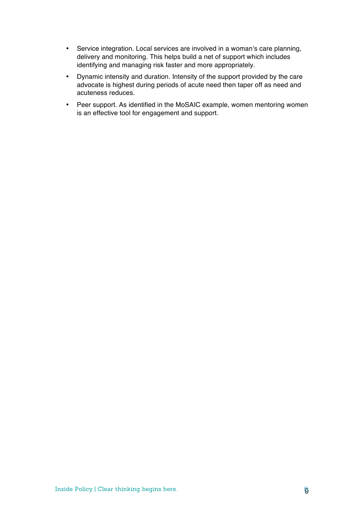- Service integration. Local services are involved in a woman's care planning, delivery and monitoring. This helps build a net of support which includes identifying and managing risk faster and more appropriately.
- Dynamic intensity and duration. Intensity of the support provided by the care advocate is highest during periods of acute need then taper off as need and acuteness reduces.
- Peer support. As identified in the MoSAIC example, women mentoring women is an effective tool for engagement and support.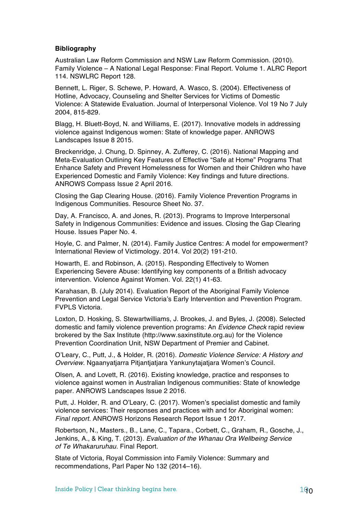### **Bibliography**

Australian Law Reform Commission and NSW Law Reform Commission. (2010). Family Violence – A National Legal Response: Final Report. Volume 1. ALRC Report 114. NSWLRC Report 128.

Bennett, L. Riger, S. Schewe, P. Howard, A. Wasco, S. (2004). Effectiveness of Hotline, Advocacy, Counseling and Shelter Services for Victims of Domestic Violence: A Statewide Evaluation. Journal of Interpersonal Violence. Vol 19 No 7 July 2004, 815-829.

Blagg, H. Bluett-Boyd, N. and Williams, E. (2017). Innovative models in addressing violence against Indigenous women: State of knowledge paper. ANROWS Landscapes Issue 8 2015.

Breckenridge, J. Chung, D. Spinney, A. Zufferey, C. (2016). National Mapping and Meta-Evaluation Outlining Key Features of Effective "Safe at Home" Programs That Enhance Safety and Prevent Homelessness for Women and their Children who have Experienced Domestic and Family Violence: Key findings and future directions. ANROWS Compass Issue 2 April 2016.

Closing the Gap Clearing House. (2016). Family Violence Prevention Programs in Indigenous Communities. Resource Sheet No. 37.

Day, A. Francisco, A. and Jones, R. (2013). Programs to Improve Interpersonal Safety in Indigenous Communities: Evidence and issues. Closing the Gap Clearing House. Issues Paper No. 4.

Hoyle, C. and Palmer, N. (2014). Family Justice Centres: A model for empowerment? International Review of Victimology. 2014. Vol 20(2) 191-210.

Howarth, E. and Robinson, A. (2015). Responding Effectively to Women Experiencing Severe Abuse: Identifying key components of a British advocacy intervention. Violence Against Women. Vol. 22(1) 41-63.

Karahasan, B. (July 2014). Evaluation Report of the Aboriginal Family Violence Prevention and Legal Service Victoria's Early Intervention and Prevention Program. FVPLS Victoria.

Loxton, D. Hosking, S. Stewartwilliams, J. Brookes, J. and Byles, J. (2008). Selected domestic and family violence prevention programs: An *Evidence Check* rapid review brokered by the Sax Institute (http://www.saxinstitute.org.au) for the Violence Prevention Coordination Unit, NSW Department of Premier and Cabinet.

O'Leary, C., Putt, J., & Holder, R. (2016). *Domestic Violence Service: A History and Overview*. Ngaanyatjarra Pitjantjatjara Yankunytajatjara Women's Council.

Olsen, A. and Lovett, R. (2016). Existing knowledge, practice and responses to violence against women in Australian Indigenous communities: State of knowledge paper. ANROWS Landscapes Issue 2 2016.

Putt, J. Holder, R. and O'Leary, C. (2017). Women's specialist domestic and family violence services: Their responses and practices with and for Aboriginal women: *Final report.* ANROWS Horizons Research Report Issue 1 2017.

Robertson, N., Masters., B., Lane, C., Tapara., Corbett, C., Graham, R., Gosche, J., Jenkins, A., & King, T. (2013). *Evaluation of the Whanau Ora Wellbeing Service of Te Whakaruruhau.* Final Report.

State of Victoria, Royal Commission into Family Violence: Summary and recommendations, Parl Paper No 132 (2014–16).